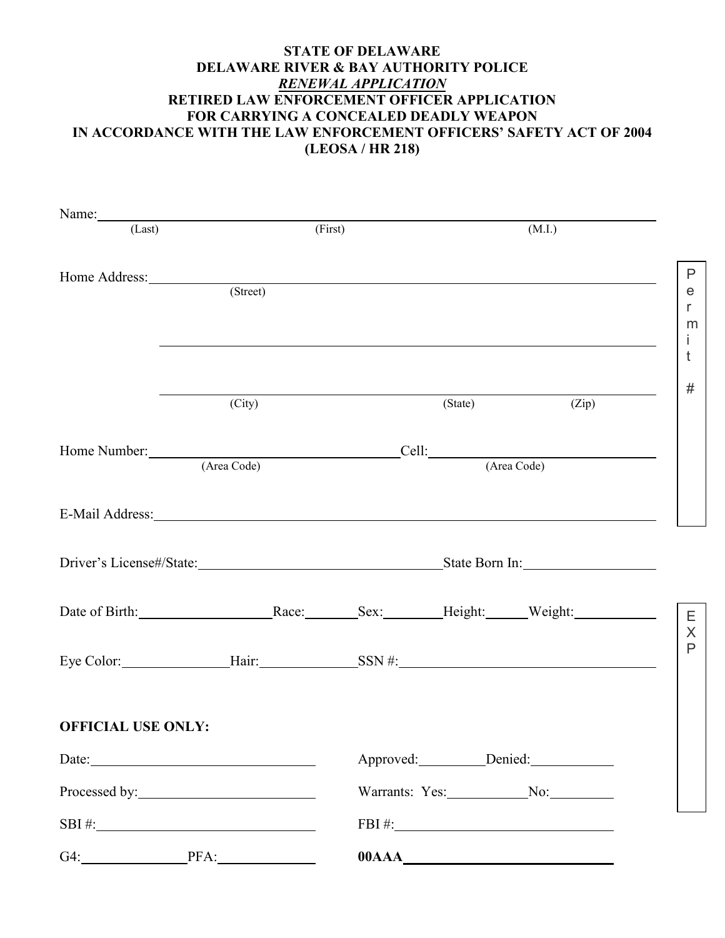## **STATE OF DELAWARE DELAWARE RIVER & BAY AUTHORITY POLICE**  *RENEWAL APPLICATION* **RETIRED LAW ENFORCEMENT OFFICER APPLICATION FOR CARRYING A CONCEALED DEADLY WEAPON IN ACCORDANCE WITH THE LAW ENFORCEMENT OFFICERS' SAFETY ACT OF 2004 (LEOSA / HR 218)**

| Name:                                                                                                                                                                                                                         |                                |  |                    |        |                              |
|-------------------------------------------------------------------------------------------------------------------------------------------------------------------------------------------------------------------------------|--------------------------------|--|--------------------|--------|------------------------------|
|                                                                                                                                                                                                                               | (First)<br>$\overline{(Last)}$ |  |                    | (M.I.) |                              |
| Home Address:                                                                                                                                                                                                                 |                                |  |                    |        | P                            |
|                                                                                                                                                                                                                               | (Street)                       |  |                    |        | e<br>r                       |
|                                                                                                                                                                                                                               |                                |  |                    |        | m<br>İ                       |
|                                                                                                                                                                                                                               |                                |  |                    |        | t                            |
|                                                                                                                                                                                                                               | (City)                         |  | (State)            | (Zip)  | $\#$                         |
|                                                                                                                                                                                                                               |                                |  |                    |        |                              |
| Home Number: Cell: Cell: Cell: (Area Code)                                                                                                                                                                                    |                                |  |                    |        |                              |
| E-Mail Address: No. 2016. The Mail Address: No. 2016. The Mail Address: No. 2016. The Mail Address: No. 2016. The Mail Address: No. 2016. The Mail Address: No. 2016. The Mail Address: No. 2016. The Mail Address: No. 2016. |                                |  |                    |        |                              |
|                                                                                                                                                                                                                               |                                |  |                    |        |                              |
| Date of Birth: Race: Race: Sex: Height: Weight: Weight:                                                                                                                                                                       |                                |  |                    |        | Е<br>$\overline{\mathsf{X}}$ |
|                                                                                                                                                                                                                               |                                |  |                    |        | $\mathsf{P}$                 |
| <b>OFFICIAL USE ONLY:</b>                                                                                                                                                                                                     |                                |  |                    |        |                              |
|                                                                                                                                                                                                                               |                                |  | Approved: Denied:  |        |                              |
|                                                                                                                                                                                                                               |                                |  | Warrants: Yes: No: |        |                              |
|                                                                                                                                                                                                                               |                                |  | $FBI \#:\_$        |        |                              |
| G4: PFA: PFA:                                                                                                                                                                                                                 |                                |  |                    |        |                              |